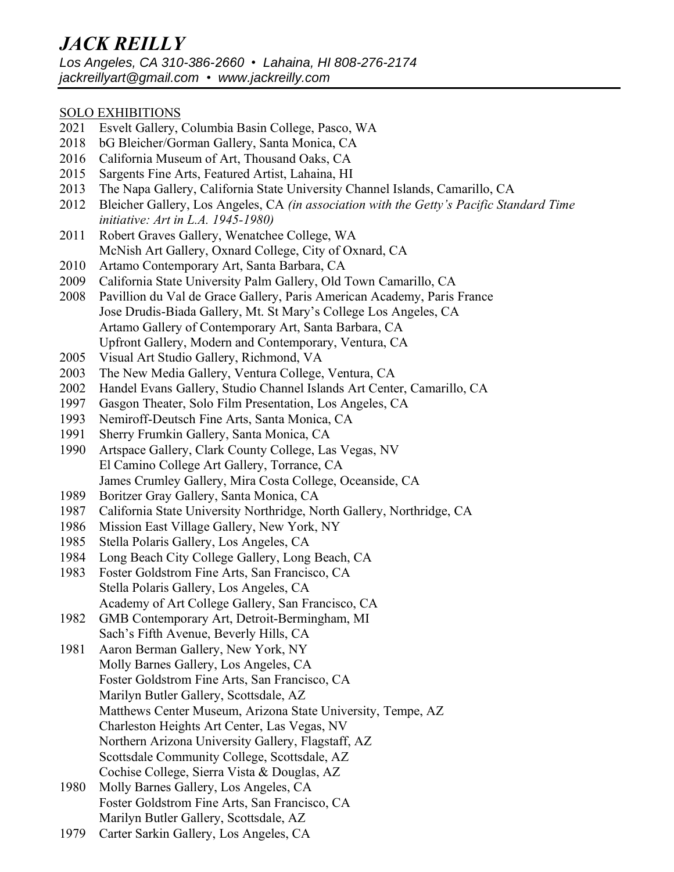# SOLO EXHIBITIONS

- 2021 Esvelt Gallery, Columbia Basin College, Pasco, WA
- 2018 bG Bleicher/Gorman Gallery, Santa Monica, CA
- 2016 California Museum of Art, Thousand Oaks, CA
- 2015 Sargents Fine Arts, Featured Artist, Lahaina, HI
- 2013 The Napa Gallery, California State University Channel Islands, Camarillo, CA
- 2012 Bleicher Gallery, Los Angeles, CA *(in association with the Getty's Pacific Standard Time initiative: Art in L.A. 1945-1980)*
- 2011 Robert Graves Gallery, Wenatchee College, WA McNish Art Gallery, Oxnard College, City of Oxnard, CA
- 2010 Artamo Contemporary Art, Santa Barbara, CA
- 2009 California State University Palm Gallery, Old Town Camarillo, CA
- 2008 Pavillion du Val de Grace Gallery, Paris American Academy, Paris France Jose Drudis-Biada Gallery, Mt. St Mary's College Los Angeles, CA Artamo Gallery of Contemporary Art, Santa Barbara, CA Upfront Gallery, Modern and Contemporary, Ventura, CA
- 2005 Visual Art Studio Gallery, Richmond, VA
- 2003 The New Media Gallery, Ventura College, Ventura, CA
- 2002 Handel Evans Gallery, Studio Channel Islands Art Center, Camarillo, CA
- 1997 Gasgon Theater, Solo Film Presentation, Los Angeles, CA
- 1993 Nemiroff-Deutsch Fine Arts, Santa Monica, CA
- 1991 Sherry Frumkin Gallery, Santa Monica, CA
- 1990 Artspace Gallery, Clark County College, Las Vegas, NV El Camino College Art Gallery, Torrance, CA James Crumley Gallery, Mira Costa College, Oceanside, CA
- 1989 Boritzer Gray Gallery, Santa Monica, CA
- 1987 California State University Northridge, North Gallery, Northridge, CA
- 1986 Mission East Village Gallery, New York, NY
- 1985 Stella Polaris Gallery, Los Angeles, CA
- 1984 Long Beach City College Gallery, Long Beach, CA
- 1983 Foster Goldstrom Fine Arts, San Francisco, CA Stella Polaris Gallery, Los Angeles, CA Academy of Art College Gallery, San Francisco, CA
- 1982 GMB Contemporary Art, Detroit-Bermingham, MI Sach's Fifth Avenue, Beverly Hills, CA
- 1981 Aaron Berman Gallery, New York, NY Molly Barnes Gallery, Los Angeles, CA Foster Goldstrom Fine Arts, San Francisco, CA Marilyn Butler Gallery, Scottsdale, AZ Matthews Center Museum, Arizona State University, Tempe, AZ Charleston Heights Art Center, Las Vegas, NV Northern Arizona University Gallery, Flagstaff, AZ Scottsdale Community College, Scottsdale, AZ Cochise College, Sierra Vista & Douglas, AZ
- 1980 Molly Barnes Gallery, Los Angeles, CA Foster Goldstrom Fine Arts, San Francisco, CA Marilyn Butler Gallery, Scottsdale, AZ
- 1979 Carter Sarkin Gallery, Los Angeles, CA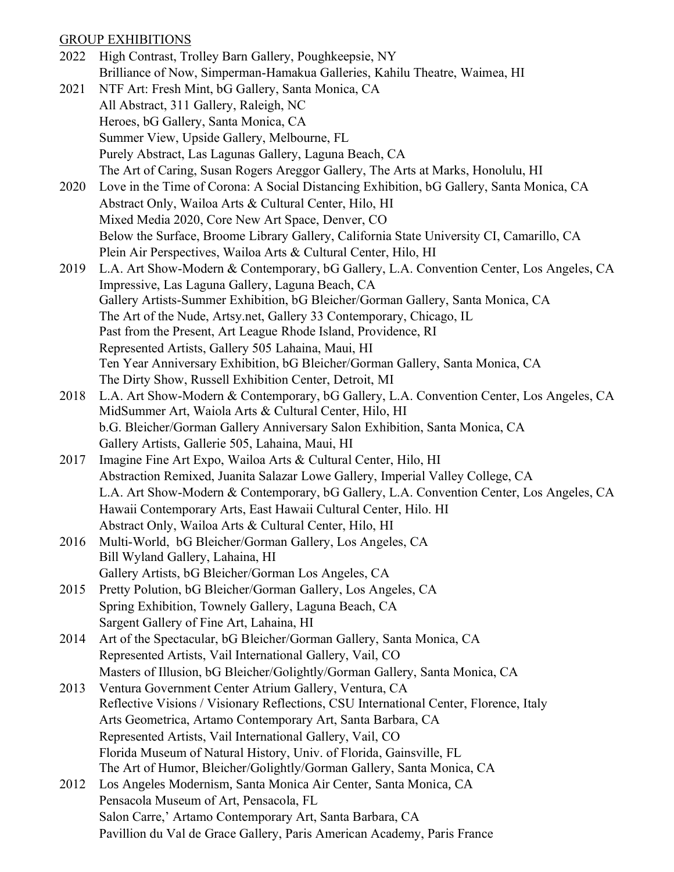# GROUP EXHIBITIONS

| 2022 | High Contrast, Trolley Barn Gallery, Poughkeepsie, NY                                    |
|------|------------------------------------------------------------------------------------------|
|      | Brilliance of Now, Simperman-Hamakua Galleries, Kahilu Theatre, Waimea, HI               |
| 2021 | NTF Art: Fresh Mint, bG Gallery, Santa Monica, CA                                        |
|      | All Abstract, 311 Gallery, Raleigh, NC                                                   |
|      | Heroes, bG Gallery, Santa Monica, CA                                                     |
|      | Summer View, Upside Gallery, Melbourne, FL                                               |
|      | Purely Abstract, Las Lagunas Gallery, Laguna Beach, CA                                   |
|      | The Art of Caring, Susan Rogers Areggor Gallery, The Arts at Marks, Honolulu, HI         |
| 2020 | Love in the Time of Corona: A Social Distancing Exhibition, bG Gallery, Santa Monica, CA |
|      | Abstract Only, Wailoa Arts & Cultural Center, Hilo, HI                                   |
|      | Mixed Media 2020, Core New Art Space, Denver, CO                                         |
|      | Below the Surface, Broome Library Gallery, California State University CI, Camarillo, CA |
|      | Plein Air Perspectives, Wailoa Arts & Cultural Center, Hilo, HI                          |
| 2019 | L.A. Art Show-Modern & Contemporary, bG Gallery, L.A. Convention Center, Los Angeles, CA |
|      | Impressive, Las Laguna Gallery, Laguna Beach, CA                                         |
|      | Gallery Artists-Summer Exhibition, bG Bleicher/Gorman Gallery, Santa Monica, CA          |
|      | The Art of the Nude, Artsy.net, Gallery 33 Contemporary, Chicago, IL                     |
|      | Past from the Present, Art League Rhode Island, Providence, RI                           |
|      | Represented Artists, Gallery 505 Lahaina, Maui, HI                                       |
|      | Ten Year Anniversary Exhibition, bG Bleicher/Gorman Gallery, Santa Monica, CA            |
|      | The Dirty Show, Russell Exhibition Center, Detroit, MI                                   |
| 2018 | L.A. Art Show-Modern & Contemporary, bG Gallery, L.A. Convention Center, Los Angeles, CA |
|      | MidSummer Art, Waiola Arts & Cultural Center, Hilo, HI                                   |
|      | b.G. Bleicher/Gorman Gallery Anniversary Salon Exhibition, Santa Monica, CA              |
|      | Gallery Artists, Gallerie 505, Lahaina, Maui, HI                                         |
| 2017 | Imagine Fine Art Expo, Wailoa Arts & Cultural Center, Hilo, HI                           |
|      | Abstraction Remixed, Juanita Salazar Lowe Gallery, Imperial Valley College, CA           |
|      | L.A. Art Show-Modern & Contemporary, bG Gallery, L.A. Convention Center, Los Angeles, CA |
|      | Hawaii Contemporary Arts, East Hawaii Cultural Center, Hilo. HI                          |
|      | Abstract Only, Wailoa Arts & Cultural Center, Hilo, HI                                   |
|      | 2016 Multi-World, bG Bleicher/Gorman Gallery, Los Angeles, CA                            |
|      | Bill Wyland Gallery, Lahaina, HI                                                         |
|      | Gallery Artists, bG Bleicher/Gorman Los Angeles, CA                                      |
| 2015 | Pretty Polution, bG Bleicher/Gorman Gallery, Los Angeles, CA                             |
|      | Spring Exhibition, Townely Gallery, Laguna Beach, CA                                     |
|      | Sargent Gallery of Fine Art, Lahaina, HI                                                 |
| 2014 | Art of the Spectacular, bG Bleicher/Gorman Gallery, Santa Monica, CA                     |
|      | Represented Artists, Vail International Gallery, Vail, CO                                |
|      | Masters of Illusion, bG Bleicher/Golightly/Gorman Gallery, Santa Monica, CA              |
| 2013 | Ventura Government Center Atrium Gallery, Ventura, CA                                    |
|      | Reflective Visions / Visionary Reflections, CSU International Center, Florence, Italy    |
|      | Arts Geometrica, Artamo Contemporary Art, Santa Barbara, CA                              |
|      | Represented Artists, Vail International Gallery, Vail, CO                                |
|      | Florida Museum of Natural History, Univ. of Florida, Gainsville, FL                      |
|      | The Art of Humor, Bleicher/Golightly/Gorman Gallery, Santa Monica, CA                    |
| 2012 | Los Angeles Modernism, Santa Monica Air Center, Santa Monica, CA                         |
|      | Pensacola Museum of Art, Pensacola, FL                                                   |
|      | Salon Carre,' Artamo Contemporary Art, Santa Barbara, CA                                 |
|      | Pavillion du Val de Grace Gallery, Paris American Academy, Paris France                  |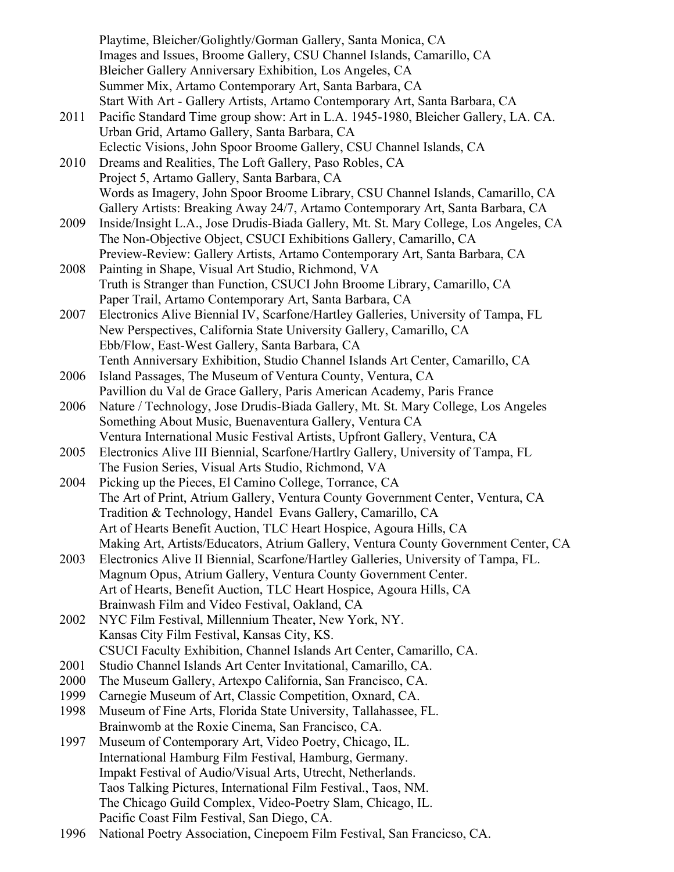Playtime, Bleicher/Golightly/Gorman Gallery, Santa Monica, CA Images and Issues, Broome Gallery, CSU Channel Islands, Camarillo, CA Bleicher Gallery Anniversary Exhibition, Los Angeles, CA Summer Mix, Artamo Contemporary Art, Santa Barbara, CA Start With Art - Gallery Artists, Artamo Contemporary Art, Santa Barbara, CA 2011 Pacific Standard Time group show: Art in L.A. 1945-1980, Bleicher Gallery, LA. CA. Urban Grid, Artamo Gallery, Santa Barbara, CA Eclectic Visions, John Spoor Broome Gallery, CSU Channel Islands, CA 2010 Dreams and Realities, The Loft Gallery, Paso Robles, CA Project 5, Artamo Gallery, Santa Barbara, CA Words as Imagery, John Spoor Broome Library, CSU Channel Islands, Camarillo, CA Gallery Artists: Breaking Away 24/7, Artamo Contemporary Art, Santa Barbara, CA 2009 Inside/Insight L.A., Jose Drudis-Biada Gallery, Mt. St. Mary College, Los Angeles, CA The Non-Objective Object, CSUCI Exhibitions Gallery, Camarillo, CA Preview-Review: Gallery Artists, Artamo Contemporary Art, Santa Barbara, CA 2008 Painting in Shape, Visual Art Studio, Richmond, VA Truth is Stranger than Function, CSUCI John Broome Library, Camarillo, CA Paper Trail, Artamo Contemporary Art, Santa Barbara, CA 2007 Electronics Alive Biennial IV, Scarfone/Hartley Galleries, University of Tampa, FL New Perspectives, California State University Gallery, Camarillo, CA Ebb/Flow, East-West Gallery, Santa Barbara, CA Tenth Anniversary Exhibition, Studio Channel Islands Art Center, Camarillo, CA 2006 Island Passages, The Museum of Ventura County, Ventura, CA Pavillion du Val de Grace Gallery, Paris American Academy, Paris France 2006 Nature / Technology, Jose Drudis-Biada Gallery, Mt. St. Mary College, Los Angeles Something About Music, Buenaventura Gallery, Ventura CA Ventura International Music Festival Artists, Upfront Gallery, Ventura, CA 2005 Electronics Alive III Biennial, Scarfone/Hartlry Gallery, University of Tampa, FL The Fusion Series, Visual Arts Studio, Richmond, VA 2004 Picking up the Pieces, El Camino College, Torrance, CA The Art of Print, Atrium Gallery, Ventura County Government Center, Ventura, CA Tradition & Technology, Handel Evans Gallery, Camarillo, CA Art of Hearts Benefit Auction, TLC Heart Hospice, Agoura Hills, CA Making Art, Artists/Educators, Atrium Gallery, Ventura County Government Center, CA 2003 Electronics Alive II Biennial, Scarfone/Hartley Galleries, University of Tampa, FL. Magnum Opus, Atrium Gallery, Ventura County Government Center. Art of Hearts, Benefit Auction, TLC Heart Hospice, Agoura Hills, CA Brainwash Film and Video Festival, Oakland, CA 2002 NYC Film Festival, Millennium Theater, New York, NY. Kansas City Film Festival, Kansas City, KS. CSUCI Faculty Exhibition, Channel Islands Art Center, Camarillo, CA. 2001 Studio Channel Islands Art Center Invitational, Camarillo, CA. 2000 The Museum Gallery, Artexpo California, San Francisco, CA. 1999 Carnegie Museum of Art, Classic Competition, Oxnard, CA. 1998 Museum of Fine Arts, Florida State University, Tallahassee, FL. Brainwomb at the Roxie Cinema, San Francisco, CA. 1997 Museum of Contemporary Art, Video Poetry, Chicago, IL. International Hamburg Film Festival, Hamburg, Germany. Impakt Festival of Audio/Visual Arts, Utrecht, Netherlands. Taos Talking Pictures, International Film Festival., Taos, NM. The Chicago Guild Complex, Video-Poetry Slam, Chicago, IL. Pacific Coast Film Festival, San Diego, CA.

1996 National Poetry Association, Cinepoem Film Festival, San Francicso, CA.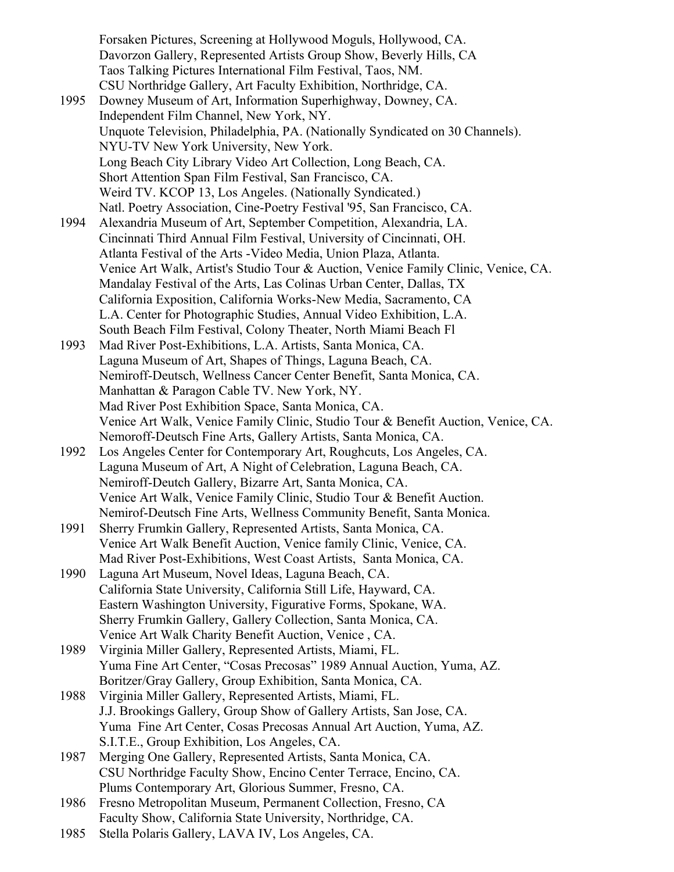Forsaken Pictures, Screening at Hollywood Moguls, Hollywood, CA. Davorzon Gallery, Represented Artists Group Show, Beverly Hills, CA Taos Talking Pictures International Film Festival, Taos, NM. CSU Northridge Gallery, Art Faculty Exhibition, Northridge, CA. 1995 Downey Museum of Art, Information Superhighway, Downey, CA. Independent Film Channel, New York, NY. Unquote Television, Philadelphia, PA. (Nationally Syndicated on 30 Channels). NYU-TV New York University, New York. Long Beach City Library Video Art Collection, Long Beach, CA. Short Attention Span Film Festival, San Francisco, CA. Weird TV. KCOP 13, Los Angeles. (Nationally Syndicated.) Natl. Poetry Association, Cine-Poetry Festival '95, San Francisco, CA. 1994 Alexandria Museum of Art, September Competition, Alexandria, LA. Cincinnati Third Annual Film Festival, University of Cincinnati, OH. Atlanta Festival of the Arts -Video Media, Union Plaza, Atlanta. Venice Art Walk, Artist's Studio Tour & Auction, Venice Family Clinic, Venice, CA. Mandalay Festival of the Arts, Las Colinas Urban Center, Dallas, TX California Exposition, California Works-New Media, Sacramento, CA L.A. Center for Photographic Studies, Annual Video Exhibition, L.A. South Beach Film Festival, Colony Theater, North Miami Beach Fl 1993 Mad River Post-Exhibitions, L.A. Artists, Santa Monica, CA. Laguna Museum of Art, Shapes of Things, Laguna Beach, CA. Nemiroff-Deutsch, Wellness Cancer Center Benefit, Santa Monica, CA. Manhattan & Paragon Cable TV. New York, NY. Mad River Post Exhibition Space, Santa Monica, CA. Venice Art Walk, Venice Family Clinic, Studio Tour & Benefit Auction, Venice, CA. Nemoroff-Deutsch Fine Arts, Gallery Artists, Santa Monica, CA. 1992 Los Angeles Center for Contemporary Art, Roughcuts, Los Angeles, CA. Laguna Museum of Art, A Night of Celebration, Laguna Beach, CA. Nemiroff-Deutch Gallery, Bizarre Art, Santa Monica, CA. Venice Art Walk, Venice Family Clinic, Studio Tour & Benefit Auction. Nemirof-Deutsch Fine Arts, Wellness Community Benefit, Santa Monica. 1991 Sherry Frumkin Gallery, Represented Artists, Santa Monica, CA. Venice Art Walk Benefit Auction, Venice family Clinic, Venice, CA. Mad River Post-Exhibitions, West Coast Artists, Santa Monica, CA. 1990 Laguna Art Museum, Novel Ideas, Laguna Beach, CA. California State University, California Still Life, Hayward, CA. Eastern Washington University, Figurative Forms, Spokane, WA. Sherry Frumkin Gallery, Gallery Collection, Santa Monica, CA. Venice Art Walk Charity Benefit Auction, Venice , CA. 1989 Virginia Miller Gallery, Represented Artists, Miami, FL. Yuma Fine Art Center, "Cosas Precosas" 1989 Annual Auction, Yuma, AZ. Boritzer/Gray Gallery, Group Exhibition, Santa Monica, CA. 1988 Virginia Miller Gallery, Represented Artists, Miami, FL. J.J. Brookings Gallery, Group Show of Gallery Artists, San Jose, CA. Yuma Fine Art Center, Cosas Precosas Annual Art Auction, Yuma, AZ. S.I.T.E., Group Exhibition, Los Angeles, CA. 1987 Merging One Gallery, Represented Artists, Santa Monica, CA. CSU Northridge Faculty Show, Encino Center Terrace, Encino, CA. Plums Contemporary Art, Glorious Summer, Fresno, CA. 1986 Fresno Metropolitan Museum, Permanent Collection, Fresno, CA Faculty Show, California State University, Northridge, CA. 1985 Stella Polaris Gallery, LAVA IV, Los Angeles, CA.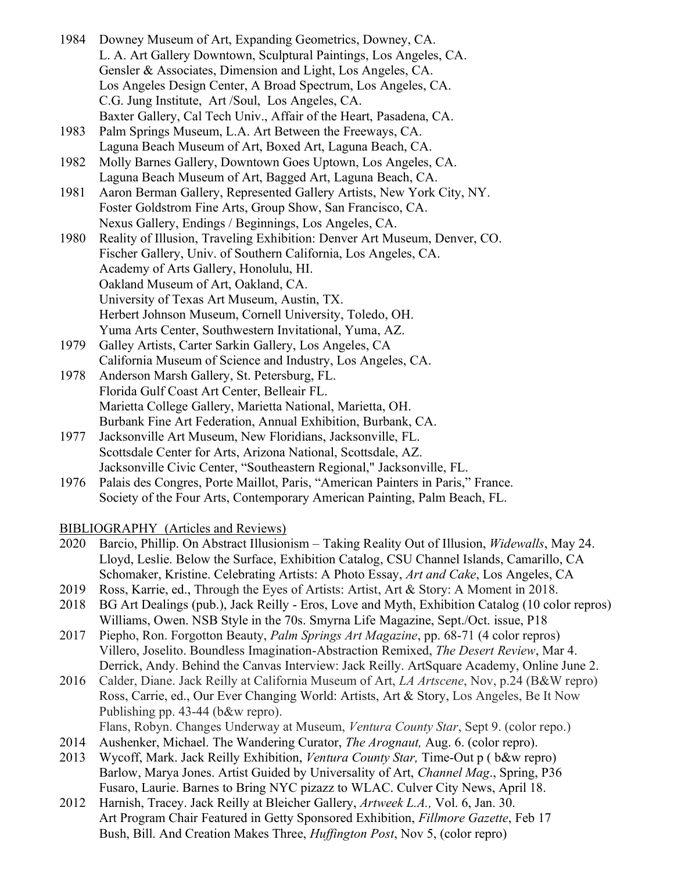- 1984 Downey Museum of Art, Expanding Geometrics, Downey, CA. L. A. Art Gallery Downtown, Sculptural Paintings, Los Angeles, CA. Gensler & Associates, Dimension and Light, Los Angeles, CA. Los Angeles Design Center, A Broad Spectrum, Los Angeles, CA. C.G. Jung Institute, Art /Soul, Los Angeles, CA. Baxter Gallery, Cal Tech Univ., Affair of the Heart, Pasadena, CA.
- 1983 Palm Springs Museum, L.A. Art Between the Freeways, CA. Laguna Beach Museum of Art, Boxed Art, Laguna Beach, CA.
- 1982 Molly Barnes Gallery, Downtown Goes Uptown, Los Angeles, CA. Laguna Beach Museum of Art, Bagged Art, Laguna Beach, CA.
- 1981 Aaron Berman Gallery, Represented Gallery Artists, New York City, NY. Foster Goldstrom Fine Arts, Group Show, San Francisco, CA. Nexus Gallery, Endings / Beginnings, Los Angeles, CA.
- 1980 Reality of Illusion, Traveling Exhibition: Denver Art Museum, Denver, CO. Fischer Gallery, Univ. of Southern California, Los Angeles, CA. Academy of Arts Gallery, Honolulu, HI. Oakland Museum of Art, Oakland, CA. University of Texas Art Museum, Austin, TX. Herbert Johnson Museum, Cornell University, Toledo, OH. Yuma Arts Center, Southwestern Invitational, Yuma, AZ.
- 1979 Galley Artists, Carter Sarkin Gallery, Los Angeles, CA California Museum of Science and Industry, Los Angeles, CA.
- 1978 Anderson Marsh Gallery, St. Petersburg, FL. Florida Gulf Coast Art Center, Belleair FL. Marietta College Gallery, Marietta National, Marietta, OH. Burbank Fine Art Federation, Annual Exhibition, Burbank, CA.
- 1977 Jacksonville Art Museum, New Floridians, Jacksonville, FL. Scottsdale Center for Arts, Arizona National, Scottsdale, AZ. Jacksonville Civic Center, "Southeastern Regional," Jacksonville, FL.
- 1976 Palais des Congres, Porte Maillot, Paris, "American Painters in Paris," France. Society of the Four Arts, Contemporary American Painting, Palm Beach, FL.

# BIBLIOGRAPHY (Articles and Reviews)

- 2020 Barcio, Phillip. On Abstract Illusionism Taking Reality Out of Illusion, *Widewalls*, May 24. Lloyd, Leslie. Below the Surface, Exhibition Catalog, CSU Channel Islands, Camarillo, CA Schomaker, Kristine. Celebrating Artists: A Photo Essay, *Art and Cake*, Los Angeles, CA
- 2019 Ross, Karrie, ed., Through the Eyes of Artists: Artist, Art & Story: A Moment in 2018.
- 2018 BG Art Dealings (pub.), Jack Reilly Eros, Love and Myth, Exhibition Catalog (10 color repros) Williams, Owen. NSB Style in the 70s. Smyrna Life Magazine, Sept./Oct. issue, P18
- 2017 Piepho, Ron. Forgotton Beauty, *Palm Springs Art Magazine*, pp. 68-71 (4 color repros) Villero, Joselito. Boundless Imagination-Abstraction Remixed, *The Desert Review*, Mar 4. Derrick, Andy. Behind the Canvas Interview: Jack Reilly. ArtSquare Academy, Online June 2.
- 2016 Calder, Diane. Jack Reilly at California Museum of Art, *LA Artscene*, Nov, p.24 (B&W repro) Ross, Carrie, ed., Our Ever Changing World: Artists, Art & Story, Los Angeles, Be It Now Publishing pp. 43-44 (b&w repro).
	- Flans, Robyn. Changes Underway at Museum, *Ventura County Star*, Sept 9. (color repo.)
- 2014 Aushenker, Michael. The Wandering Curator, *The Arognaut,* Aug. 6. (color repro).
- 2013 Wycoff, Mark. Jack Reilly Exhibition, *Ventura County Star,* Time-Out p ( b&w repro) Barlow, Marya Jones. Artist Guided by Universality of Art, *Channel Mag*., Spring, P36 Fusaro, Laurie. Barnes to Bring NYC pizazz to WLAC. Culver City News, April 18.
- 2012 Harnish, Tracey. Jack Reilly at Bleicher Gallery, *Artweek L.A.,* Vol. 6, Jan. 30. Art Program Chair Featured in Getty Sponsored Exhibition, *Fillmore Gazette*, Feb 17 Bush, Bill. And Creation Makes Three, *Huffington Post*, Nov 5, (color repro)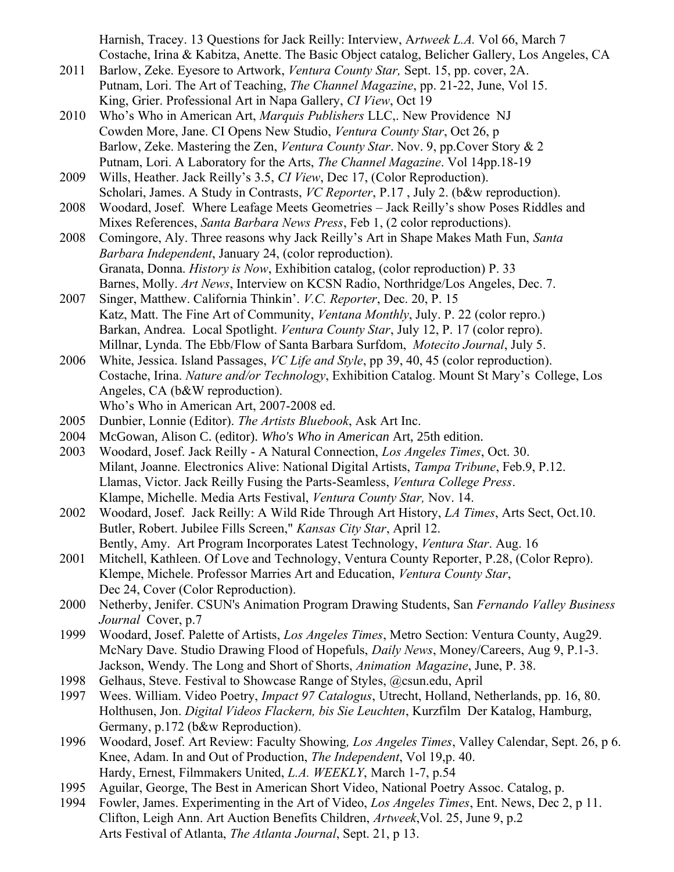Harnish, Tracey. 13 Questions for Jack Reilly: Interview, A*rtweek L.A.* Vol 66, March 7 Costache, Irina & Kabitza, Anette. The Basic Object catalog, Belicher Gallery, Los Angeles, CA

- 2011 Barlow, Zeke. Eyesore to Artwork, *Ventura County Star,* Sept. 15, pp. cover, 2A. Putnam, Lori. The Art of Teaching, *The Channel Magazine*, pp. 21-22, June, Vol 15. King, Grier. Professional Art in Napa Gallery, *CI View*, Oct 19
- 2010 Who's Who in American Art, *Marquis Publishers* LLC,. New Providence NJ Cowden More, Jane. CI Opens New Studio, *Ventura County Star*, Oct 26, p Barlow, Zeke. Mastering the Zen, *Ventura County Star*. Nov. 9, pp.Cover Story & 2 Putnam, Lori. A Laboratory for the Arts, *The Channel Magazine*. Vol 14pp.18-19
- 2009 Wills, Heather. Jack Reilly's 3.5, *CI View*, Dec 17, (Color Reproduction). Scholari, James. A Study in Contrasts, *VC Reporter*, P.17 , July 2. (b&w reproduction).
- 2008 Woodard, Josef. Where Leafage Meets Geometries Jack Reilly's show Poses Riddles and Mixes References, *Santa Barbara News Press*, Feb 1, (2 color reproductions).
- 2008 Comingore, Aly. Three reasons why Jack Reilly's Art in Shape Makes Math Fun, *Santa Barbara Independent*, January 24, (color reproduction). Granata, Donna. *History is Now*, Exhibition catalog, (color reproduction) P. 33 Barnes, Molly. *Art News*, Interview on KCSN Radio, Northridge/Los Angeles, Dec. 7.
- 2007 Singer, Matthew. California Thinkin'. *V.C. Reporter*, Dec. 20, P. 15 Katz, Matt. The Fine Art of Community, *Ventana Monthly*, July. P. 22 (color repro.) Barkan, Andrea. Local Spotlight. *Ventura County Star*, July 12, P. 17 (color repro). Millnar, Lynda. The Ebb/Flow of Santa Barbara Surfdom, *Motecito Journal*, July 5.
- 2006 White, Jessica. Island Passages, *VC Life and Style*, pp 39, 40, 45 (color reproduction). Costache, Irina. *Nature and/or Technology*, Exhibition Catalog. Mount St Mary's College, Los Angeles, CA (b&W reproduction).
	- Who's Who in American Art, 2007-2008 ed.
- 2005 Dunbier, Lonnie (Editor). *The Artists Bluebook*, Ask Art Inc.
- 2004 McGowan, Alison C. (editor). *Who's Who in American* Art, 25th edition.
- 2003 Woodard, Josef. Jack Reilly A Natural Connection, *Los Angeles Times*, Oct. 30. Milant, Joanne. Electronics Alive: National Digital Artists, *Tampa Tribune*, Feb.9, P.12. Llamas, Victor. Jack Reilly Fusing the Parts-Seamless, *Ventura College Press*. Klampe, Michelle. Media Arts Festival, *Ventura County Star,* Nov. 14.
- 2002 Woodard, Josef. Jack Reilly: A Wild Ride Through Art History, *LA Times*, Arts Sect, Oct.10. Butler, Robert. Jubilee Fills Screen," *Kansas City Star*, April 12. Bently, Amy. Art Program Incorporates Latest Technology, *Ventura Star*. Aug. 16
- 2001 Mitchell, Kathleen. Of Love and Technology, Ventura County Reporter, P.28, (Color Repro). Klempe, Michele. Professor Marries Art and Education, *Ventura County Star*, Dec 24, Cover (Color Reproduction).
- 2000 Netherby, Jenifer. CSUN's Animation Program Drawing Students, San *Fernando Valley Business Journal* Cover, p.7
- 1999 Woodard, Josef. Palette of Artists, *Los Angeles Times*, Metro Section: Ventura County, Aug29. McNary Dave. Studio Drawing Flood of Hopefuls, *Daily News*, Money/Careers, Aug 9, P.1-3. Jackson, Wendy. The Long and Short of Shorts, *Animation Magazine*, June, P. 38.
- 1998 Gelhaus, Steve. Festival to Showcase Range of Styles, @csun.edu, April
- 1997 Wees. William. Video Poetry, *Impact 97 Catalogus*, Utrecht, Holland, Netherlands, pp. 16, 80. Holthusen, Jon. *Digital Videos Flackern, bis Sie Leuchten*, Kurzfilm Der Katalog, Hamburg, Germany, p.172 (b&w Reproduction).
- 1996 Woodard, Josef. Art Review: Faculty Showing*, Los Angeles Times*, Valley Calendar, Sept. 26, p 6. Knee, Adam. In and Out of Production, *The Independent*, Vol 19,p. 40. Hardy, Ernest, Filmmakers United, *L.A. WEEKLY*, March 1-7, p.54
- 1995 Aguilar, George, The Best in American Short Video, National Poetry Assoc. Catalog, p.
- 1994 Fowler, James. Experimenting in the Art of Video, *Los Angeles Times*, Ent. News, Dec 2, p 11. Clifton, Leigh Ann. Art Auction Benefits Children, *Artweek*,Vol. 25, June 9, p.2 Arts Festival of Atlanta, *The Atlanta Journal*, Sept. 21, p 13.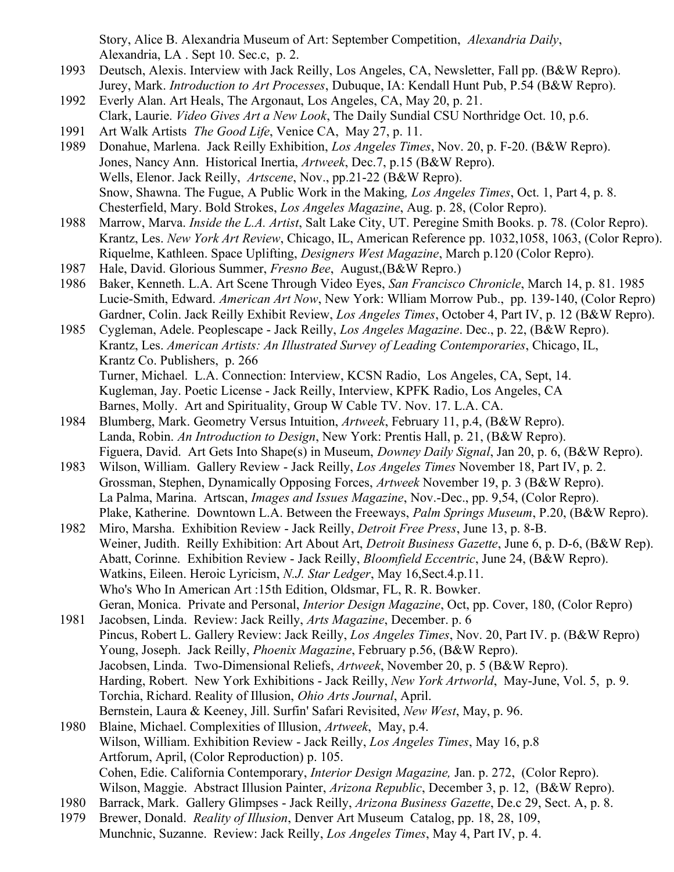Story, Alice B. Alexandria Museum of Art: September Competition, *Alexandria Daily*, Alexandria, LA . Sept 10. Sec.c, p. 2.

- 1993 Deutsch, Alexis. Interview with Jack Reilly, Los Angeles, CA, Newsletter, Fall pp. (B&W Repro). Jurey, Mark. *Introduction to Art Processes*, Dubuque, IA: Kendall Hunt Pub, P.54 (B&W Repro).
- 1992 Everly Alan. Art Heals, The Argonaut, Los Angeles, CA, May 20, p. 21.
- Clark, Laurie. *Video Gives Art a New Look*, The Daily Sundial CSU Northridge Oct. 10, p.6.
- 1991 Art Walk Artists *The Good Life*, Venice CA, May 27, p. 11.
- 1989 Donahue, Marlena. Jack Reilly Exhibition, *Los Angeles Times*, Nov. 20, p. F-20. (B&W Repro). Jones, Nancy Ann. Historical Inertia, *Artweek*, Dec.7, p.15 (B&W Repro). Wells, Elenor. Jack Reilly, *Artscene*, Nov., pp.21-22 (B&W Repro). Snow, Shawna. The Fugue, A Public Work in the Making*, Los Angeles Times*, Oct. 1, Part 4, p. 8. Chesterfield, Mary. Bold Strokes, *Los Angeles Magazine*, Aug. p. 28, (Color Repro).
- 1988 Marrow, Marva. *Inside the L.A. Artist*, Salt Lake City, UT. Peregine Smith Books. p. 78. (Color Repro). Krantz, Les. *New York Art Review*, Chicago, IL, American Reference pp. 1032,1058, 1063, (Color Repro). Riquelme, Kathleen. Space Uplifting, *Designers West Magazine*, March p.120 (Color Repro).
- 1987 Hale, David. Glorious Summer, *Fresno Bee*, August,(B&W Repro.)
- 1986 Baker, Kenneth. L.A. Art Scene Through Video Eyes, *San Francisco Chronicle*, March 14, p. 81. 1985 Lucie-Smith, Edward. *American Art Now*, New York: Wlliam Morrow Pub., pp. 139-140, (Color Repro) Gardner, Colin. Jack Reilly Exhibit Review, *Los Angeles Times*, October 4, Part IV, p. 12 (B&W Repro).
- 1985 Cygleman, Adele. Peoplescape Jack Reilly, *Los Angeles Magazine*. Dec., p. 22, (B&W Repro). Krantz, Les. *American Artists: An Illustrated Survey of Leading Contemporaries*, Chicago, IL, Krantz Co. Publishers, p. 266 Turner, Michael. L.A. Connection: Interview, KCSN Radio, Los Angeles, CA, Sept, 14. Kugleman, Jay. Poetic License - Jack Reilly, Interview, KPFK Radio, Los Angeles, CA Barnes, Molly. Art and Spirituality, Group W Cable TV. Nov. 17. L.A. CA.
- 1984 Blumberg, Mark. Geometry Versus Intuition, *Artweek*, February 11, p.4, (B&W Repro). Landa, Robin. *An Introduction to Design*, New York: Prentis Hall, p. 21, (B&W Repro). Figuera, David. Art Gets Into Shape(s) in Museum, *Downey Daily Signal*, Jan 20, p. 6, (B&W Repro).
- 1983 Wilson, William. Gallery Review Jack Reilly, *Los Angeles Times* November 18, Part IV, p. 2. Grossman, Stephen, Dynamically Opposing Forces, *Artweek* November 19, p. 3 (B&W Repro). La Palma, Marina. Artscan, *Images and Issues Magazine*, Nov.-Dec., pp. 9,54, (Color Repro). Plake, Katherine. Downtown L.A. Between the Freeways, *Palm Springs Museum*, P.20, (B&W Repro).
- 1982 Miro, Marsha. Exhibition Review Jack Reilly, *Detroit Free Press*, June 13, p. 8-B. Weiner, Judith. Reilly Exhibition: Art About Art, *Detroit Business Gazette*, June 6, p. D-6, (B&W Rep). Abatt, Corinne. Exhibition Review - Jack Reilly, *Bloomfield Eccentric*, June 24, (B&W Repro). Watkins, Eileen. Heroic Lyricism, *N.J. Star Ledger*, May 16,Sect.4.p.11. Who's Who In American Art :15th Edition, Oldsmar, FL, R. R. Bowker. Geran, Monica. Private and Personal, *Interior Design Magazine*, Oct, pp. Cover, 180, (Color Repro)
- 1981 Jacobsen, Linda. Review: Jack Reilly, *Arts Magazine*, December. p. 6 Pincus, Robert L. Gallery Review: Jack Reilly, *Los Angeles Times*, Nov. 20, Part IV. p. (B&W Repro) Young, Joseph. Jack Reilly, *Phoenix Magazine*, February p.56, (B&W Repro). Jacobsen, Linda. Two-Dimensional Reliefs, *Artweek*, November 20, p. 5 (B&W Repro). Harding, Robert. New York Exhibitions - Jack Reilly, *New York Artworld*, May-June, Vol. 5, p. 9. Torchia, Richard. Reality of Illusion, *Ohio Arts Journal*, April. Bernstein, Laura & Keeney, Jill. Surfin' Safari Revisited, *New West*, May, p. 96.

1980 Blaine, Michael. Complexities of Illusion, *Artweek*, May, p.4. Wilson, William. Exhibition Review - Jack Reilly, *Los Angeles Times*, May 16, p.8 Artforum, April, (Color Reproduction) p. 105. Cohen, Edie. California Contemporary, *Interior Design Magazine,* Jan. p. 272, (Color Repro). Wilson, Maggie. Abstract Illusion Painter, *Arizona Republic*, December 3, p. 12, (B&W Repro).

- 1980 Barrack, Mark. Gallery Glimpses Jack Reilly, *Arizona Business Gazette*, De.c 29, Sect. A, p. 8.
- 1979 Brewer, Donald. *Reality of Illusion*, Denver Art Museum Catalog, pp. 18, 28, 109, Munchnic, Suzanne. Review: Jack Reilly, *Los Angeles Times*, May 4, Part IV, p. 4.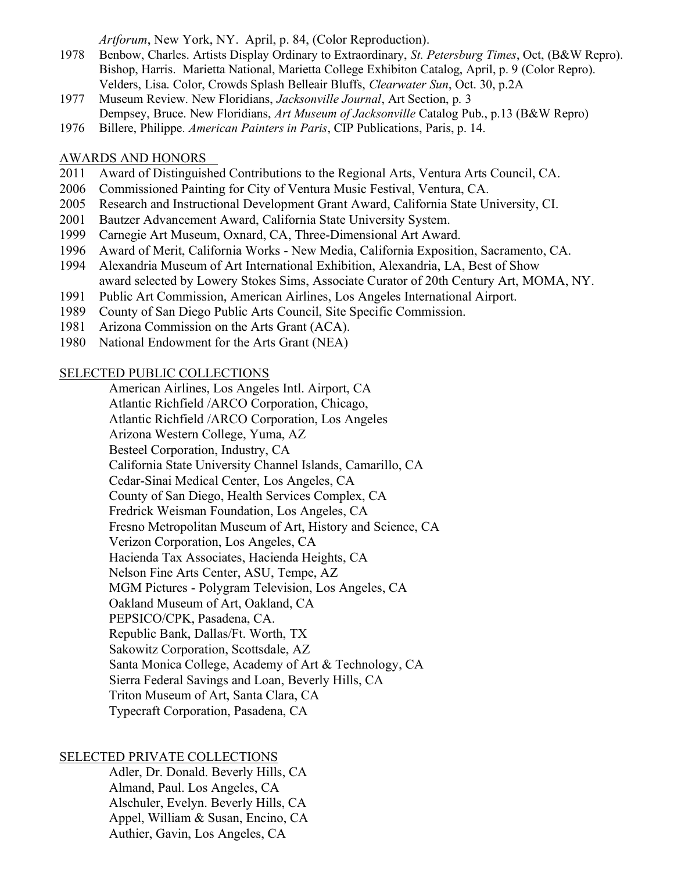*Artforum*, New York, NY. April, p. 84, (Color Reproduction).

- 1978 Benbow, Charles. Artists Display Ordinary to Extraordinary, *St. Petersburg Times*, Oct, (B&W Repro). Bishop, Harris. Marietta National, Marietta College Exhibiton Catalog, April, p. 9 (Color Repro). Velders, Lisa. Color, Crowds Splash Belleair Bluffs, *Clearwater Sun*, Oct. 30, p.2A
- 1977 Museum Review. New Floridians, *Jacksonville Journal*, Art Section, p. 3 Dempsey, Bruce. New Floridians, *Art Museum of Jacksonville* Catalog Pub., p.13 (B&W Repro)
- 1976 Billere, Philippe. *American Painters in Paris*, CIP Publications, Paris, p. 14.

### AWARDS AND HONORS

- 2011 Award of Distinguished Contributions to the Regional Arts, Ventura Arts Council, CA.
- 2006 Commissioned Painting for City of Ventura Music Festival, Ventura, CA.
- 2005 Research and Instructional Development Grant Award, California State University, CI.
- 2001 Bautzer Advancement Award, California State University System.
- 1999 Carnegie Art Museum, Oxnard, CA, Three-Dimensional Art Award.
- 1996 Award of Merit, California Works New Media, California Exposition, Sacramento, CA.
- 1994 Alexandria Museum of Art International Exhibition, Alexandria, LA, Best of Show award selected by Lowery Stokes Sims, Associate Curator of 20th Century Art, MOMA, NY.
- 1991 Public Art Commission, American Airlines, Los Angeles International Airport.
- 1989 County of San Diego Public Arts Council, Site Specific Commission.
- 1981 Arizona Commission on the Arts Grant (ACA).
- 1980 National Endowment for the Arts Grant (NEA)

#### SELECTED PUBLIC COLLECTIONS

American Airlines, Los Angeles Intl. Airport, CA Atlantic Richfield /ARCO Corporation, Chicago, Atlantic Richfield /ARCO Corporation, Los Angeles Arizona Western College, Yuma, AZ Besteel Corporation, Industry, CA California State University Channel Islands, Camarillo, CA Cedar-Sinai Medical Center, Los Angeles, CA County of San Diego, Health Services Complex, CA Fredrick Weisman Foundation, Los Angeles, CA Fresno Metropolitan Museum of Art, History and Science, CA Verizon Corporation, Los Angeles, CA Hacienda Tax Associates, Hacienda Heights, CA Nelson Fine Arts Center, ASU, Tempe, AZ MGM Pictures - Polygram Television, Los Angeles, CA Oakland Museum of Art, Oakland, CA PEPSICO/CPK, Pasadena, CA. Republic Bank, Dallas/Ft. Worth, TX Sakowitz Corporation, Scottsdale, AZ Santa Monica College, Academy of Art & Technology, CA Sierra Federal Savings and Loan, Beverly Hills, CA Triton Museum of Art, Santa Clara, CA Typecraft Corporation, Pasadena, CA

# SELECTED PRIVATE COLLECTIONS

Adler, Dr. Donald. Beverly Hills, CA Almand, Paul. Los Angeles, CA Alschuler, Evelyn. Beverly Hills, CA Appel, William & Susan, Encino, CA Authier, Gavin, Los Angeles, CA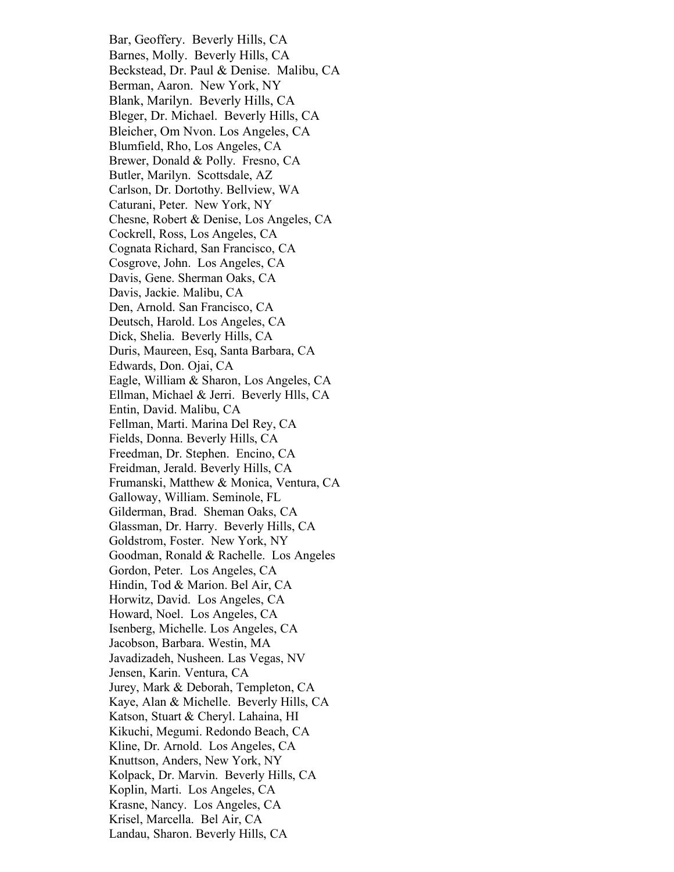Bar, Geoffery. Beverly Hills, CA Barnes, Molly. Beverly Hills, CA Beckstead, Dr. Paul & Denise. Malibu, CA Berman, Aaron. New York, NY Blank, Marilyn. Beverly Hills, CA Bleger, Dr. Michael. Beverly Hills, CA Bleicher, Om Nvon. Los Angeles, CA Blumfield, Rho, Los Angeles, CA Brewer, Donald & Polly. Fresno, CA Butler, Marilyn. Scottsdale, AZ Carlson, Dr. Dortothy. Bellview, WA Caturani, Peter. New York, NY Chesne, Robert & Denise, Los Angeles, CA Cockrell, Ross, Los Angeles, CA Cognata Richard, San Francisco, CA Cosgrove, John. Los Angeles, CA Davis, Gene. Sherman Oaks, CA Davis, Jackie. Malibu, CA Den, Arnold. San Francisco, CA Deutsch, Harold. Los Angeles, CA Dick, Shelia. Beverly Hills, CA Duris, Maureen, Esq, Santa Barbara, CA Edwards, Don. Ojai, CA Eagle, William & Sharon, Los Angeles, CA Ellman, Michael & Jerri. Beverly Hlls, CA Entin, David. Malibu, CA Fellman, Marti. Marina Del Rey, CA Fields, Donna. Beverly Hills, CA Freedman, Dr. Stephen. Encino, CA Freidman, Jerald. Beverly Hills, CA Frumanski, Matthew & Monica, Ventura, CA Galloway, William. Seminole, FL Gilderman, Brad. Sheman Oaks, CA Glassman, Dr. Harry. Beverly Hills, CA Goldstrom, Foster. New York, NY Goodman, Ronald & Rachelle. Los Angeles Gordon, Peter. Los Angeles, CA Hindin, Tod & Marion. Bel Air, CA Horwitz, David. Los Angeles, CA Howard, Noel. Los Angeles, CA Isenberg, Michelle. Los Angeles, CA Jacobson, Barbara. Westin, MA Javadizadeh, Nusheen. Las Vegas, NV Jensen, Karin. Ventura, CA Jurey, Mark & Deborah, Templeton, CA Kaye, Alan & Michelle. Beverly Hills, CA Katson, Stuart & Cheryl. Lahaina, HI Kikuchi, Megumi. Redondo Beach, CA Kline, Dr. Arnold. Los Angeles, CA Knuttson, Anders, New York, NY Kolpack, Dr. Marvin. Beverly Hills, CA Koplin, Marti. Los Angeles, CA Krasne, Nancy. Los Angeles, CA Krisel, Marcella. Bel Air, CA Landau, Sharon. Beverly Hills, CA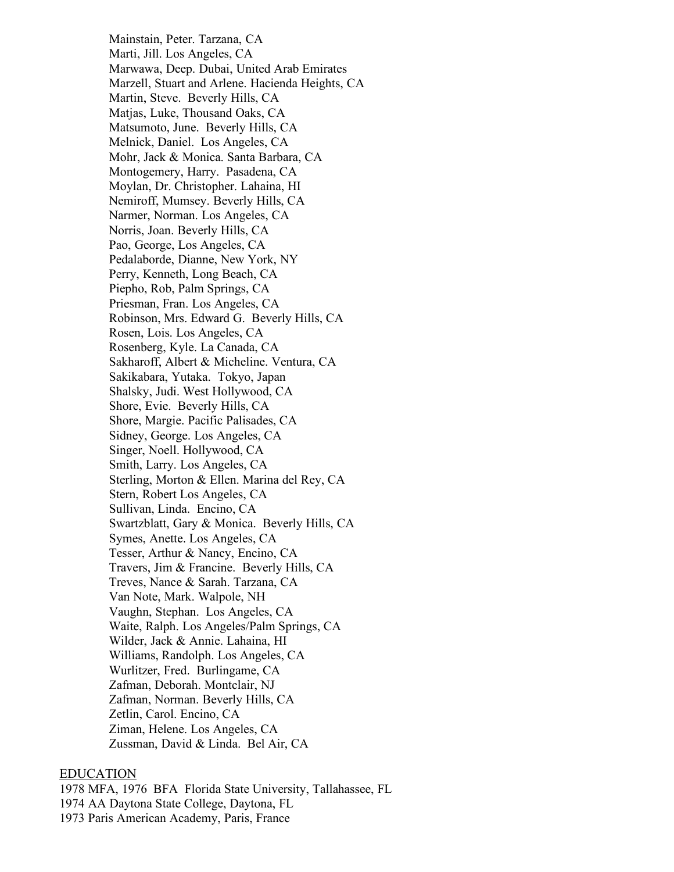Mainstain, Peter. Tarzana, CA Marti, Jill. Los Angeles, CA Marwawa, Deep. Dubai, United Arab Emirates Marzell, Stuart and Arlene. Hacienda Heights, CA Martin, Steve. Beverly Hills, CA Matjas, Luke, Thousand Oaks, CA Matsumoto, June. Beverly Hills, CA Melnick, Daniel. Los Angeles, CA Mohr, Jack & Monica. Santa Barbara, CA Montogemery, Harry. Pasadena, CA Moylan, Dr. Christopher. Lahaina, HI Nemiroff, Mumsey. Beverly Hills, CA Narmer, Norman. Los Angeles, CA Norris, Joan. Beverly Hills, CA Pao, George, Los Angeles, CA Pedalaborde, Dianne, New York, NY Perry, Kenneth, Long Beach, CA Piepho, Rob, Palm Springs, CA Priesman, Fran. Los Angeles, CA Robinson, Mrs. Edward G. Beverly Hills, CA Rosen, Lois. Los Angeles, CA Rosenberg, Kyle. La Canada, CA Sakharoff, Albert & Micheline. Ventura, CA Sakikabara, Yutaka. Tokyo, Japan Shalsky, Judi. West Hollywood, CA Shore, Evie. Beverly Hills, CA Shore, Margie. Pacific Palisades, CA Sidney, George. Los Angeles, CA Singer, Noell. Hollywood, CA Smith, Larry. Los Angeles, CA Sterling, Morton & Ellen. Marina del Rey, CA Stern, Robert Los Angeles, CA Sullivan, Linda. Encino, CA Swartzblatt, Gary & Monica. Beverly Hills, CA Symes, Anette. Los Angeles, CA Tesser, Arthur & Nancy, Encino, CA Travers, Jim & Francine. Beverly Hills, CA Treves, Nance & Sarah. Tarzana, CA Van Note, Mark. Walpole, NH Vaughn, Stephan. Los Angeles, CA Waite, Ralph. Los Angeles/Palm Springs, CA Wilder, Jack & Annie. Lahaina, HI Williams, Randolph. Los Angeles, CA Wurlitzer, Fred. Burlingame, CA Zafman, Deborah. Montclair, NJ Zafman, Norman. Beverly Hills, CA Zetlin, Carol. Encino, CA Ziman, Helene. Los Angeles, CA Zussman, David & Linda. Bel Air, CA

### EDUCATION

1978 MFA, 1976 BFA Florida State University, Tallahassee, FL 1974 AA Daytona State College, Daytona, FL 1973 Paris American Academy, Paris, France